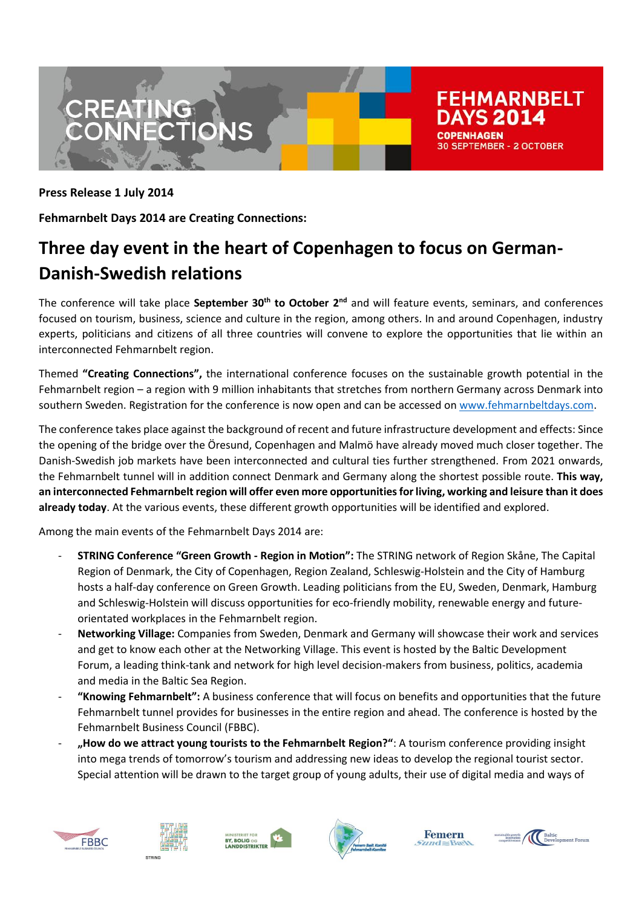



**Fehmarnbelt Days 2014 are Creating Connections:**

## **Three day event in the heart of Copenhagen to focus on German-Danish-Swedish relations**

The conference will take place **September 30th to October 2nd** and will feature events, seminars, and conferences focused on tourism, business, science and culture in the region, among others. In and around Copenhagen, industry experts, politicians and citizens of all three countries will convene to explore the opportunities that lie within an interconnected Fehmarnbelt region.

Themed **"Creating Connections",** the international conference focuses on the sustainable growth potential in the Fehmarnbelt region – a region with 9 million inhabitants that stretches from northern Germany across Denmark into southern Sweden. Registration for the conference is now open and can be accessed on [www.fehmarnbeltdays.com.](http://www.fehmarnbeltdays.com/)

The conference takes place against the background of recent and future infrastructure development and effects: Since the opening of the bridge over the Öresund, Copenhagen and Malmö have already moved much closer together. The Danish-Swedish job markets have been interconnected and cultural ties further strengthened. From 2021 onwards, the Fehmarnbelt tunnel will in addition connect Denmark and Germany along the shortest possible route. **This way, an interconnected Fehmarnbelt region will offer even more opportunities for living, working and leisure than it does already today**. At the various events, these different growth opportunities will be identified and explored.

Among the main events of the Fehmarnbelt Days 2014 are:

- **STRING Conference "Green Growth - Region in Motion":** The STRING network of Region Skåne, The Capital Region of Denmark, the City of Copenhagen, Region Zealand, Schleswig-Holstein and the City of Hamburg hosts a half-day conference on Green Growth. Leading politicians from the EU, Sweden, Denmark, Hamburg and Schleswig-Holstein will discuss opportunities for eco-friendly mobility, renewable energy and futureorientated workplaces in the Fehmarnbelt region.
- **Networking Village:** Companies from Sweden, Denmark and Germany will showcase their work and services and get to know each other at the Networking Village. This event is hosted by the Baltic Development Forum, a leading think-tank and network for high level decision-makers from business, politics, academia and media in the Baltic Sea Region.
- **"Knowing Fehmarnbelt":** A business conference that will focus on benefits and opportunities that the future Fehmarnbelt tunnel provides for businesses in the entire region and ahead. The conference is hosted by the Fehmarnbelt Business Council (FBBC).
- **"How do we attract young tourists to the Fehmarnbelt Region?"**: A tourism conference providing insight into mega trends of tomorrow's tourism and addressing new ideas to develop the regional tourist sector. Special attention will be drawn to the target group of young adults, their use of digital media and ways of













**FEHMARNBELT** YS 2014

**SEPTEMBER - 2 OCTOBER**